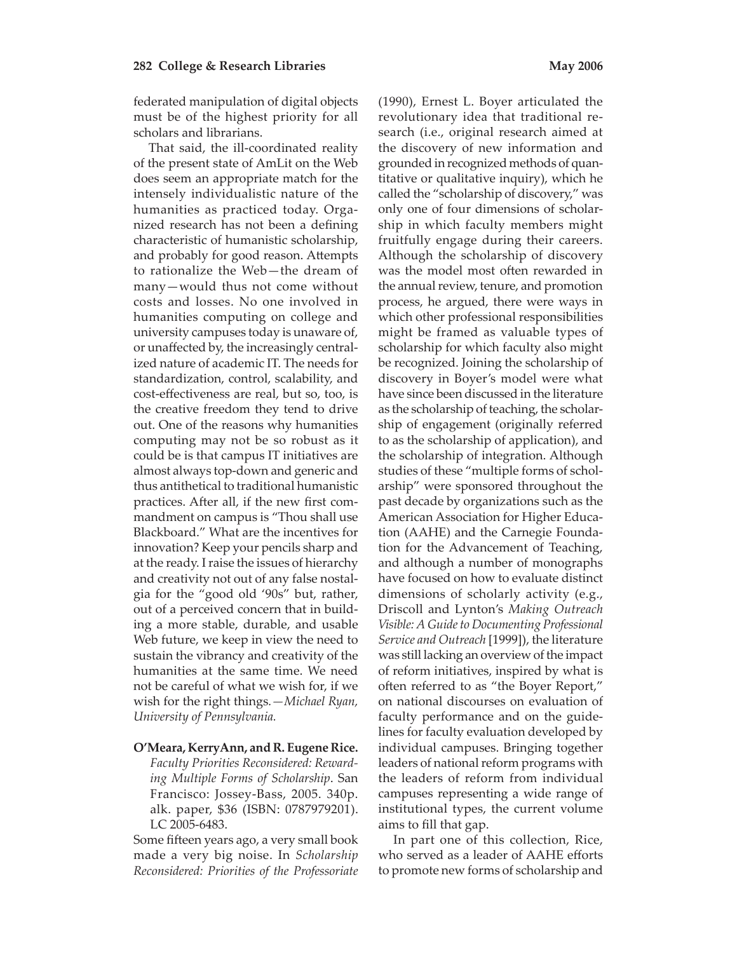federated manipulation of digital objects must be of the highest priority for all scholars and librarians.

That said, the ill-coordinated reality of the present state of AmLit on the Web does seem an appropriate match for the intensely individualistic nature of the humanities as practiced today. Organized research has not been a defining characteristic of humanistic scholarship, and probably for good reason. Attempts to rationalize the Web—the dream of many—would thus not come without costs and losses. No one involved in humanities computing on college and university campuses today is unaware of, or unaffected by, the increasingly centralized nature of academic IT. The needs for standardization, control, scalability, and cost-effectiveness are real, but so, too, is the creative freedom they tend to drive out. One of the reasons why humanities computing may not be so robust as it could be is that campus IT initiatives are almost always top-down and generic and thus antithetical to traditional humanistic practices. After all, if the new first commandment on campus is "Thou shall use Blackboard." What are the incentives for innovation? Keep your pencils sharp and at the ready. I raise the issues of hierarchy and creativity not out of any false nostalgia for the "good old '90s" but, rather, out of a perceived concern that in building a more stable, durable, and usable Web future, we keep in view the need to sustain the vibrancy and creativity of the humanities at the same time. We need not be careful of what we wish for, if we wish for the right things*.—Michael Ryan, University of Pennsylvania.* 

**O'Meara, KerryAnn, and R. Eugene Rice.** 

*Faculty Priorities Reconsidered: Rewarding Multiple Forms of Scholarship*. San Francisco: Jossey-Bass, 2005. 340p. alk. paper, \$36 (ISBN: 0787979201). LC 2005-6483.

Some fifteen years ago, a very small book made a very big noise. In *Scholarship Reconsidered: Priorities of the Professoriate* 

(1990), Ernest L. Boyer articulated the revolutionary idea that traditional research (i.e., original research aimed at the discovery of new information and grounded in recognized methods of quantitative or qualitative inquiry), which he called the "scholarship of discovery," was only one of four dimensions of scholarship in which faculty members might fruitfully engage during their careers. Although the scholarship of discovery was the model most often rewarded in the annual review, tenure, and promotion process, he argued, there were ways in which other professional responsibilities might be framed as valuable types of scholarship for which faculty also might be recognized. Joining the scholarship of discovery in Boyer's model were what have since been discussed in the literature as the scholarship of teaching, the scholarship of engagement (originally referred to as the scholarship of application), and the scholarship of integration. Although studies of these "multiple forms of scholarship" were sponsored throughout the past decade by organizations such as the American Association for Higher Education (AAHE) and the Carnegie Foundation for the Advancement of Teaching, and although a number of monographs have focused on how to evaluate distinct dimensions of scholarly activity (e.g., Driscoll and Lynton's *Making Outreach Visible: A Guide to Documenting Professional Service and Outreach* [1999]), the literature was still lacking an overview of the impact of reform initiatives, inspired by what is often referred to as "the Boyer Report," on national discourses on evaluation of faculty performance and on the guidelines for faculty evaluation developed by individual campuses. Bringing together leaders of national reform programs with the leaders of reform from individual campuses representing a wide range of institutional types, the current volume aims to fill that gap.

In part one of this collection, Rice, who served as a leader of AAHE efforts to promote new forms of scholarship and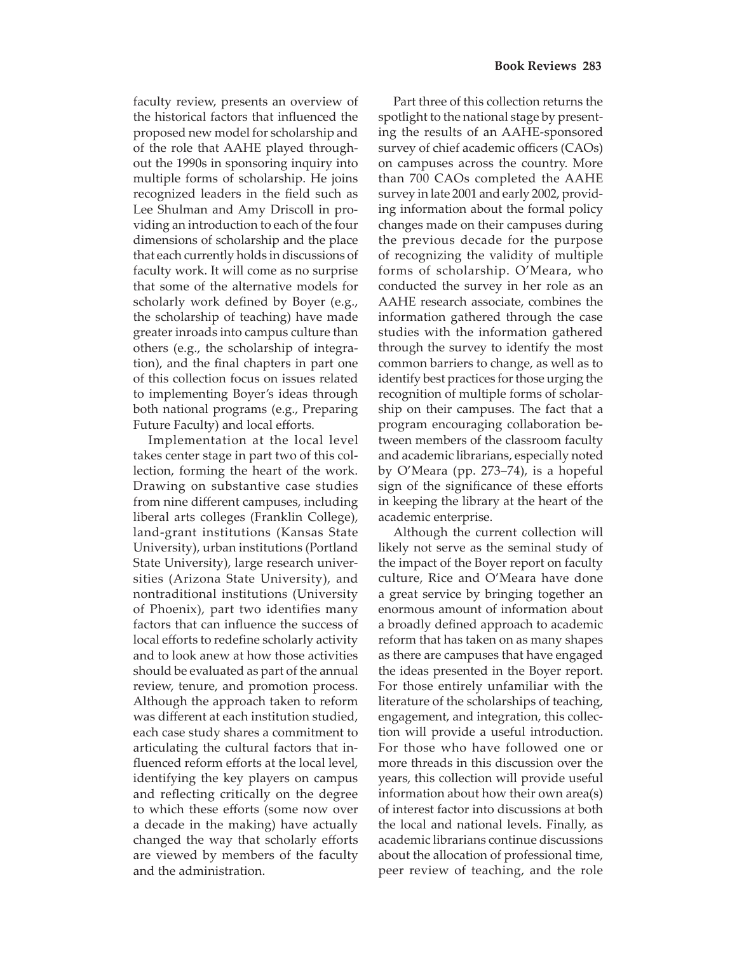faculty review, presents an overview of the historical factors that influenced the proposed new model for scholarship and of the role that AAHE played throughout the 1990s in sponsoring inquiry into multiple forms of scholarship. He joins recognized leaders in the field such as Lee Shulman and Amy Driscoll in providing an introduction to each of the four dimensions of scholarship and the place that each currently holds in discussions of faculty work. It will come as no surprise that some of the alternative models for scholarly work defined by Boyer (e.g., the scholarship of teaching) have made greater inroads into campus culture than others (e.g., the scholarship of integration), and the final chapters in part one of this collection focus on issues related to implementing Boyer's ideas through both national programs (e.g., Preparing Future Faculty) and local efforts.

Implementation at the local level takes center stage in part two of this collection, forming the heart of the work. Drawing on substantive case studies from nine different campuses, including liberal arts colleges (Franklin College), land-grant institutions (Kansas State University), urban institutions (Portland State University), large research universities (Arizona State University), and nontraditional institutions (University of Phoenix), part two identifies many factors that can influence the success of local efforts to redefine scholarly activity and to look anew at how those activities should be evaluated as part of the annual review, tenure, and promotion process. Although the approach taken to reform was different at each institution studied, each case study shares a commitment to articulating the cultural factors that influenced reform efforts at the local level, identifying the key players on campus and reflecting critically on the degree to which these efforts (some now over a decade in the making) have actually changed the way that scholarly efforts are viewed by members of the faculty and the administration.

Part three of this collection returns the spotlight to the national stage by presenting the results of an AAHE-sponsored survey of chief academic officers (CAOs) on campuses across the country. More than 700 CAOs completed the AAHE survey in late 2001 and early 2002, providing information about the formal policy changes made on their campuses during the previous decade for the purpose of recognizing the validity of multiple forms of scholarship. O'Meara, who conducted the survey in her role as an AAHE research associate, combines the information gathered through the case studies with the information gathered through the survey to identify the most common barriers to change, as well as to identify best practices for those urging the recognition of multiple forms of scholarship on their campuses. The fact that a program encouraging collaboration between members of the classroom faculty and academic librarians, especially noted by O'Meara (pp. 273–74), is a hopeful sign of the significance of these efforts in keeping the library at the heart of the academic enterprise.

Although the current collection will likely not serve as the seminal study of the impact of the Boyer report on faculty culture, Rice and O'Meara have done a great service by bringing together an enormous amount of information about a broadly defined approach to academic reform that has taken on as many shapes as there are campuses that have engaged the ideas presented in the Boyer report. For those entirely unfamiliar with the literature of the scholarships of teaching, engagement, and integration, this collection will provide a useful introduction. For those who have followed one or more threads in this discussion over the years, this collection will provide useful information about how their own area(s) of interest factor into discussions at both the local and national levels. Finally, as academic librarians continue discussions about the allocation of professional time, peer review of teaching, and the role